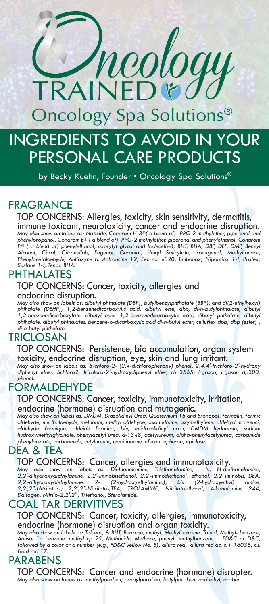INGREDIENTS TO AVOID IN YOUR PERSONAL CARE PRODUCTS Oncology Spa Solutions® RAINED&

by Becky Kuehn, Founder • Oncology Spa Solutions®

## FRAGRANCE

TOP CONCERNS: Allergies, toxicity, skin sensitivity, dermatitis, immune toxicant, neurotoxicity, cancer and endocrine disruption. *May also show on labels as: Naticide, Conarom H-3®( a blend of) PPG-2 methylether, piperonal and*  phenylpropanol, Conarom E® (a blend of) PPG-2 methylether, piperonal and phenylethanol, Conarom<br>P® ( a blend of) phenylethanol, caprylyl glycol and trideceth-8, BHT, BHA, DBP, DEP, DMP, Benzyl<br>Alcohol, Citral, Citronellol *Sustane 1-f, Tenox BHA.* 

## PHTHALATES

#### TOP CONCERNS: Cancer, toxicity, allergies and endocrine disruption.

May also show on labels as: dibutyl phthalate (DBP), butylbenzylphthalate (BBP), and di(2-ethylhexyl)<br>phthalate (DEHP), 1,2-benzenedicarboxylic acid, dibutyl este, dbp, di-n-butylphthalate, dibutyl<br>1,2-benzenedicarboxylate *phthalate, dibutyl phthalates, benzene-o-dicarboxylic acid di-n-butyl ester; celluflex dpb; dbp (ester) ; di-n-butyl phthalate.* 

## TRICLOSAN

TOP CONCERNS: Persistence, bio accumulation, organ system

toxicity, endocrine disruption, eye, skin and lung irritant.<br>May also show on labels as: 5-chloro-2- (2,4-dichlorophenoxy) phenol, 2,4,4'-trichloro-2'-hydroxy<br>diphenyl ether, 5chloro2, trichloro-2'-hydroxydiphenyl ether, c *phenol.*

## FORMALDEHYDE

## TOP CONCERNS: Cancer, toxicity, immunotoxicity, irritation, endocrine (hormone) disruption and mutagenic. *May also show on labels as: DMDM, Diazolidinyl Urea, Quaternium 15 and Bronopol, formalin, formic*

*aldehyde, merthaldehyde, methanal, methyl aldehyde, oxomethane, oxymethylene, aldehyd mravenci, aldehyde formique, aldeide formica, bfv, imidazolidinyl urea, DMDM hydantoin, sodium hydroxymethylglycinate, phenylacetyl urea, a-1348, acetylureum, alpha-phenylacetylurea, carbamide phenylacetate, carbanmide, cetylureum, comitiadone, eferon, epheron, epiclase.*

### DEA & TEA

TOP CONCERNS: Cancer, allergies and immunotoxicity.<br>May also show on labels as: Diethanolamine, Triethanolamine, N, N-diethanolamine,<br>2,2'-dihydroxydiethylamine, 2,2'-iminobisethanol, 2,2'-iminodiethanol, ethanol, 2,2 imin 2,2'-dihydroxydiethylamine, 2- (2-hydroxyethylamino), bis (2-hydroxyethyl) amine,<br>2,2',2''-Nitrilotris-; 2,2',2''-'Nitrilotris,IEA, TROLAMINE, Nitrilotriethanol, Alkanolamine 244,<br>Daltogen,Nitrilo-2,2',2'',Triethanol,Stero

## COAL TAR DERIVITIVES

## TOP CONCERNS: Cancer, toxicity, allergies, immunotoxicity, endocrine (hormone) disruption and organ toxicity. *May also show on labels as: Toluene, & BHT, Benzene, methyl, Methylbenzene, Toluol, Methyl- benzene,*

*Antisal 1a benzene, methyl cp 25, Methacide, Methane, phenyl, methylbenzene. FD&C or D&C, followed by a color or a number (e.g., FD&C yellow No. 5), allura red, allura red ac, c. i. 16035, c.i. food red 17.*

## PARABENS

TOP CONCERNS: Cancer and endocrine (hormone) disrupter. *May also show on labels as: methylparaben, propylparaben, butylparaben, and ethylparaben.*